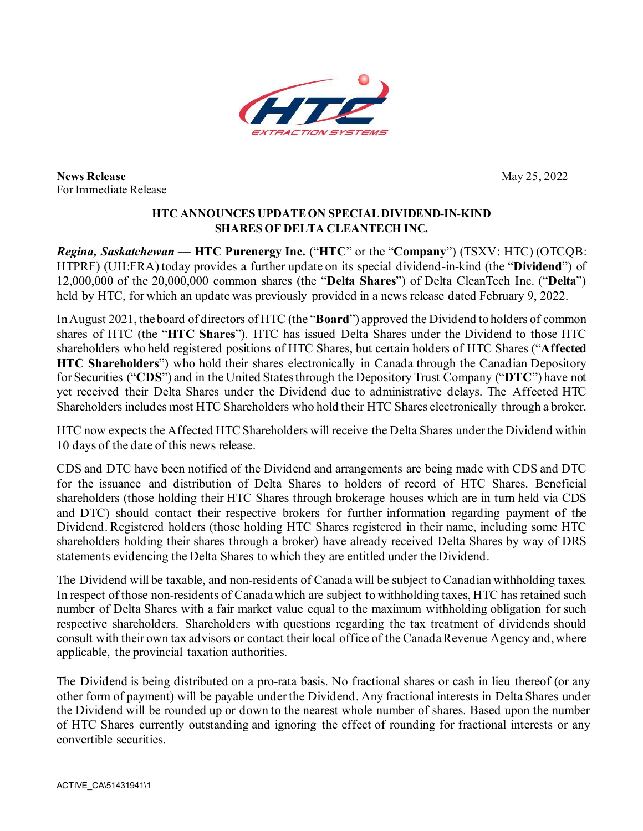

**News Release** May 25, 2022 For Immediate Release

## **HTC ANNOUNCES UPDATEON SPECIALDIVIDEND-IN-KIND SHARES OF DELTA CLEANTECH INC.**

*Regina, Saskatchewan* — **HTC Purenergy Inc.** ("**HTC**" or the "**Company**") (TSXV: HTC) (OTCQB: HTPRF) (UII:FRA) today provides a further update on its special dividend-in-kind (the "**Dividend**") of 12,000,000 of the 20,000,000 common shares (the "**Delta Shares**") of Delta CleanTech Inc. ("**Delta**") held by HTC, for which an update was previously provided in a news release dated February 9, 2022.

In August 2021, the board of directors of HTC (the "**Board**") approved the Dividend to holders of common shares of HTC (the "**HTC Shares**"). HTC has issued Delta Shares under the Dividend to those HTC shareholders who held registered positions of HTC Shares, but certain holders of HTC Shares ("**Affected HTC Shareholders**") who hold their shares electronically in Canada through the Canadian Depository for Securities ("**CDS**") and in the United States through the Depository Trust Company ("**DTC**") have not yet received their Delta Shares under the Dividend due to administrative delays. The Affected HTC Shareholders includes most HTC Shareholders who hold their HTC Shares electronically through a broker.

HTC now expects the Affected HTC Shareholders will receive the Delta Shares under the Dividend within 10 days of the date of this news release.

CDS and DTC have been notified of the Dividend and arrangements are being made with CDS and DTC for the issuance and distribution of Delta Shares to holders of record of HTC Shares. Beneficial shareholders (those holding their HTC Shares through brokerage houses which are in turn held via CDS and DTC) should contact their respective brokers for further information regarding payment of the Dividend. Registered holders (those holding HTC Shares registered in their name, including some HTC shareholders holding their shares through a broker) have already received Delta Shares by way of DRS statements evidencing the Delta Shares to which they are entitled under the Dividend.

The Dividend will be taxable, and non-residents of Canada will be subject to Canadian withholding taxes. In respect of those non-residents of Canada which are subject to withholding taxes, HTC has retained such number of Delta Shares with a fair market value equal to the maximum withholding obligation for such respective shareholders. Shareholders with questions regarding the tax treatment of dividends should consult with their own tax advisors or contact their local office of the Canada Revenue Agency and, where applicable, the provincial taxation authorities.

The Dividend is being distributed on a pro-rata basis. No fractional shares or cash in lieu thereof (or any other form of payment) will be payable under the Dividend. Any fractional interests in Delta Shares under the Dividend will be rounded up or down to the nearest whole number of shares. Based upon the number of HTC Shares currently outstanding and ignoring the effect of rounding for fractional interests or any convertible securities.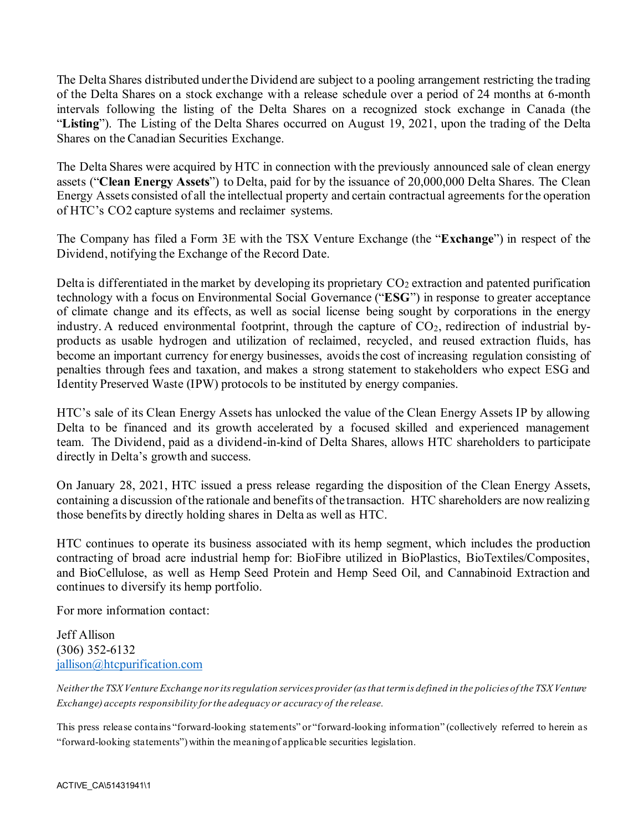The Delta Shares distributed under the Dividend are subject to a pooling arrangement restricting the trading of the Delta Shares on a stock exchange with a release schedule over a period of 24 months at 6-month intervals following the listing of the Delta Shares on a recognized stock exchange in Canada (the "**Listing**"). The Listing of the Delta Shares occurred on August 19, 2021, upon the trading of the Delta Shares on the Canadian Securities Exchange.

The Delta Shares were acquired by HTC in connection with the previously announced sale of clean energy assets ("**Clean Energy Assets**") to Delta, paid for by the issuance of 20,000,000 Delta Shares. The Clean Energy Assets consisted of all the intellectual property and certain contractual agreements for the operation of HTC's CO2 capture systems and reclaimer systems.

The Company has filed a Form 3E with the TSX Venture Exchange (the "**Exchange**") in respect of the Dividend, notifying the Exchange of the Record Date.

Delta is differentiated in the market by developing its proprietary  $CO<sub>2</sub>$  extraction and patented purification technology with a focus on Environmental Social Governance ("**ESG**") in response to greater acceptance of climate change and its effects, as well as social license being sought by corporations in the energy industry. A reduced environmental footprint, through the capture of  $CO<sub>2</sub>$ , redirection of industrial byproducts as usable hydrogen and utilization of reclaimed, recycled, and reused extraction fluids, has become an important currency for energy businesses, avoids the cost of increasing regulation consisting of penalties through fees and taxation, and makes a strong statement to stakeholders who expect ESG and Identity Preserved Waste (IPW) protocols to be instituted by energy companies.

HTC's sale of its Clean Energy Assets has unlocked the value of the Clean Energy Assets IP by allowing Delta to be financed and its growth accelerated by a focused skilled and experienced management team. The Dividend, paid as a dividend-in-kind of Delta Shares, allows HTC shareholders to participate directly in Delta's growth and success.

On January 28, 2021, HTC issued a press release regarding the disposition of the Clean Energy Assets, containing a discussion of the rationale and benefits of the transaction. HTC shareholders are now realizing those benefits by directly holding shares in Delta as well as HTC.

HTC continues to operate its business associated with its hemp segment, which includes the production contracting of broad acre industrial hemp for: BioFibre utilized in BioPlastics, BioTextiles/Composites, and BioCellulose, as well as Hemp Seed Protein and Hemp Seed Oil, and Cannabinoid Extraction and continues to diversify its hemp portfolio.

For more information contact:

Jeff Allison (306) 352-6132 [jallison@htcpurification.com](mailto:jallison@htcpurification.com)

*Neither the TSX Venture Exchange nor its regulation services provider (as that term is defined in the policies of the TSX Venture Exchange) accepts responsibility for the adequacy or accuracy of the release.*

This press release contains "forward-looking statements" or "forward-looking information" (collectively referred to herein as "forward-looking statements") within the meaning of applicable securities legislation.